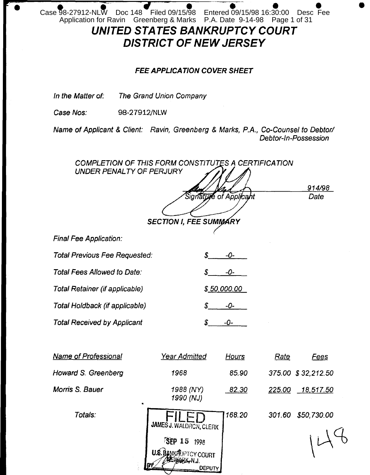Case 98-27912-NLW Doc 148 Filed 09/15/98 Entered 09/15/98 16:30:00 Desc Fee<br>Application for Ravin Greenberg & Marks P.A. Date 9-14-98 Page 1 of 31 UNITED STATES BANKRUPTCY COURT

# **DISTRICT OF NEW JERSEY**

## **FEE APPLICATION COVER SHEET**

In the Matter of: The Grand Union Company

Case Nos: 98-27912/NLW

Name of Applicant & Client: Ravin, Greenberg & Marks, P.A., Co-Counsel to Debtor/ Debtor-In-Possession

COMPLETION OF THIS FORM CONSTITUTES A CERTIFICATION UNDER PENALTY OF PERJURY 914/98 Signature of Applica Date **SECTION I, FEE SUMMARY Final Fee Application: Total Previous Fee Requested:** -0-S Total Fees Allowed to Date: -0-S. **Total Retainer (if applicable)**  $$50,000.00$ Total Holdback (if applicable) -0-**Total Received by Applicant** S -0-**Name of Professional Year Admitted** <u>Hours</u> <u>Rate</u> Fees **Howard S. Greenberg** 1968 85.90 375.00 \$32,212.50 Morris S. Bauer 1988 (NY) 225.00 18,517.50 82.30 1990 (NJ) Totals: 301.60 \$50,730.00 168.20 **JAMES J. WALDRON, CLERK SEP 15 1998 U.S. BANKAUPTCY COURT** EHAABK-N.J. DEPUTY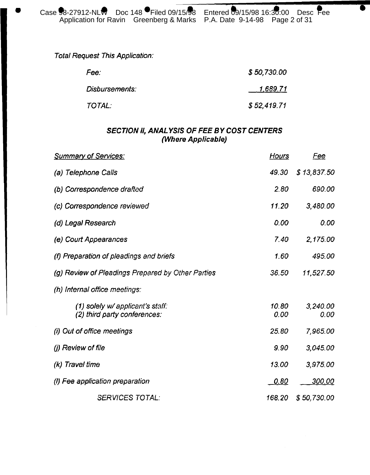**Total Request This Application:** 

| Fee:           | \$50,730.00 |
|----------------|-------------|
| Disbursements: | 1,689.71    |
| TOTAL:         | \$52,419.71 |

# SECTION II, ANALYSIS OF FEE BY COST CENTERS (Where Applicable)

| <b>Summary of Services:</b>                                      | <u>Hours</u>  | <u>Fee</u>       |
|------------------------------------------------------------------|---------------|------------------|
| (a) Telephone Calls                                              | 49.30         | \$13,837.50      |
| (b) Correspondence drafted                                       | 2.80          | 690.00           |
| (c) Correspondence reviewed                                      | 11.20         | 3,480.00         |
| (d) Legal Research                                               | 0.00          | 0.00             |
| (e) Court Appearances                                            | 7.40          | 2,175.00         |
| (f) Preparation of pleadings and briefs                          | 1.60          | 495.00           |
| (g) Review of Pleadings Prepared by Other Parties                | 36.50         | 11,527.50        |
| (h) Internal office meetings:                                    |               |                  |
| (1) solely w/ applicant's staff:<br>(2) third party conferences: | 10.80<br>0.00 | 3,240.00<br>0.00 |
| (i) Out of office meetings                                       | 25.80         | 7,965.00         |
| (j) Review of file                                               | 9.90          | 3,045.00         |
| (k) Travel time                                                  | 13.00         | 3,975.00         |
| (I) Fee application preparation                                  | <u>0.80</u>   | <u>300.00</u>    |
| <b>SERVICES TOTAL:</b>                                           | 168.20        | \$50,730.00      |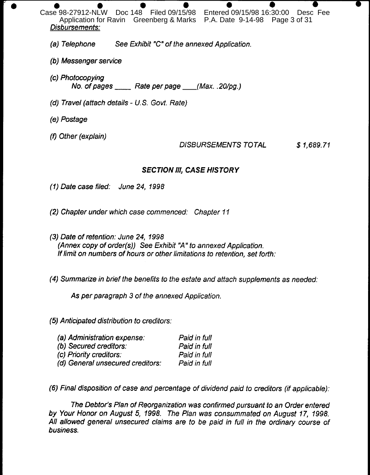Case 98-27912-NLW Doc 148 Filed 09/15/98 Entered 09/15/98 16:30:00 Desc Fee Application for Ravin Greenberg & Marks P.A. Date 9-14-98 Page 3 of 31 Disbursements:

See Exhibit "C" of the annexed Application. (a) Telephone

- (b) Messenger service
- (c) Photocopying No. of pages \_\_\_\_\_ Rate per page \_\_\_(Max. .20/pg.)
- (d) Travel (attach details U.S. Govt. Rate)
- (e) Postage
- (f) Other (explain)

**DISBURSEMENTS TOTAL**  $$1,689.71$ 

# **SECTION III, CASE HISTORY**

(1) Date case filed: June 24, 1998

(2) Chapter under which case commenced: Chapter 11

(3) Date of retention: June 24, 1998 (Annex copy of order(s)) See Exhibit "A" to annexed Application. If limit on numbers of hours or other limitations to retention, set forth:

(4) Summarize in brief the benefits to the estate and attach supplements as needed:

As per paragraph 3 of the annexed Application.

(5) Anticipated distribution to creditors:

| Paid in full |
|--------------|
| Paid in full |
| Paid in full |
| Paid in full |
|              |

(6) Final disposition of case and percentage of dividend paid to creditors (if applicable):

The Debtor's Plan of Reorganization was confirmed pursuant to an Order entered by Your Honor on August 5, 1998. The Plan was consummated on August 17, 1998. All allowed general unsecured claims are to be paid in full in the ordinary course of business.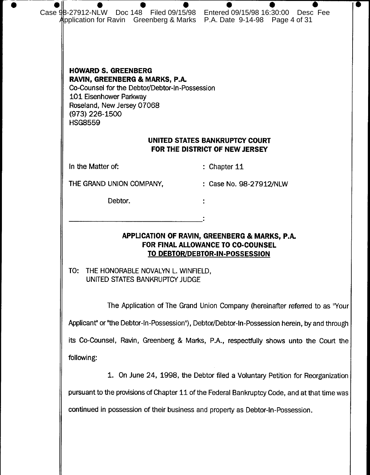| Case 98-27912-NLW Doc 148 Filed 09/15/98 Entered 09/15/98 16:30:00 Desc Fee<br>Application for Ravin Greenberg & Marks P.A. Date 9-14-98 Page 4 of 31                                                      |                                                                                                                      |
|------------------------------------------------------------------------------------------------------------------------------------------------------------------------------------------------------------|----------------------------------------------------------------------------------------------------------------------|
| <b>HOWARD S. GREENBERG</b><br>RAVIN, GREENBERG & MARKS, P.A.<br>Co-Counsel for the Debtor/Debtor-In-Possession<br>101 Eisenhower Parkway<br>Roseland, New Jersey 07068<br>(973) 226-1500<br><b>HSG8559</b> |                                                                                                                      |
|                                                                                                                                                                                                            | UNITED STATES BANKRUPTCY COURT<br>FOR THE DISTRICT OF NEW JERSEY                                                     |
| In the Matter of:                                                                                                                                                                                          | $:$ Chapter 11                                                                                                       |
| THE GRAND UNION COMPANY,                                                                                                                                                                                   | : Case No. 98-27912/NLW                                                                                              |
| Debtor.                                                                                                                                                                                                    |                                                                                                                      |
| TO:<br>THE HONORABLE NOVALYN L. WINFIELD,                                                                                                                                                                  | APPLICATION OF RAVIN, GREENBERG & MARKS, P.A.<br>FOR FINAL ALLOWANCE TO CO-COUNSEL<br>TO DEBTOR/DEBTOR-IN-POSSESSION |
| UNITED STATES BANKRUPTCY JUDGE                                                                                                                                                                             | The Application of The Grand Union Company (hereinafter referred to as "Your                                         |
|                                                                                                                                                                                                            | Applicant" or "the Debtor-In-Possession"), Debtor/Debtor-In-Possession herein, by and through                        |
|                                                                                                                                                                                                            | its Co-Counsel, Ravin, Greenberg & Marks, P.A., respectfully shows unto the Court the                                |
| following:                                                                                                                                                                                                 |                                                                                                                      |
|                                                                                                                                                                                                            | On June 24, 1998, the Debtor filed a Voluntary Petition for Reorganization                                           |

 $\bullet$ 

pursuant to the provisions of Chapter 11 of the Federal Bankruptcy Code, and at that time was

continued in possession of their business and property as Debtor-In-Possession.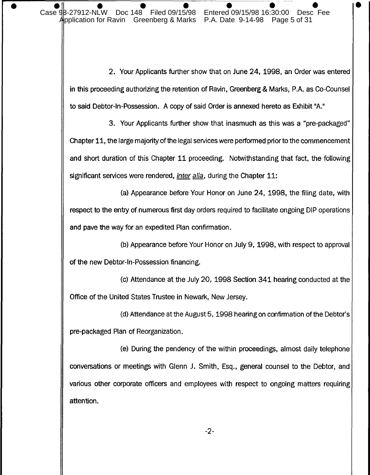2. Your Applicants further show that on June 24, 1998, an Order was entered in this proceeding authorizing the retention of Ravin, Greenberg & Marks, P.A. as Co-Counsel to said Debtor-In-Possession. A copy of said Order is annexed hereto as Exhibit "A."

3. Your Applicants further show that inasmuch as this was a "pre-packaged" Chapter 11, the large majority of the legal services were performed prior to the commencement and short duration of this Chapter 11 proceeding. Notwithstanding that fact, the following significant services were rendered, *inter alia*, during the Chapter 11:

(a) Appearance before Your Honor on June 24, 1998, the filing date, with respect to the entry of numerous first day orders required to facilitate ongoing DIP operations and pave the way for an expedited Plan confirmation.

(b) Appearance before Your Honor on July 9, 1998, with respect to approval of the new Debtor-In-Possession financing.

(c) Attendance at the July 20, 1998 Section 341 hearing conducted at the Office of the United States Trustee in Newark, New Jersey.

(d) Attendance at the August 5, 1998 hearing on confirmation of the Debtor's pre-packaged Plan of Reorganization.

(e) During the pendency of the within proceedings, almost daily telephone conversations or meetings with Glenn J. Smith, Esq., general counsel to the Debtor, and various other corporate officers and employees with respect to ongoing matters requiring attention.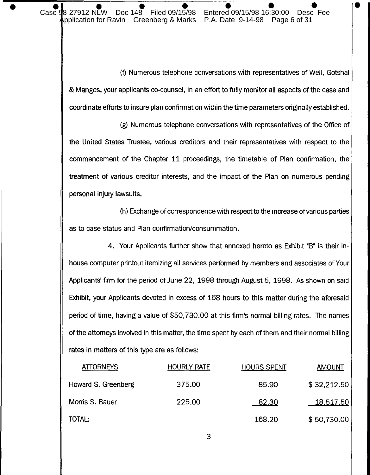Case 98-27912-NLW Doc 148 Filed 09/15/98 Entered 09/15/98 16:30:00 Desc Fee pplication for Ravin Greenberg & Marks P.A. Date 9-14-98 Page 6 of 31

(f) Numerous telephone conversations with representatives of Weil, Gotshal & Manges, your applicants co-counsel, in an effort to fully monitor all aspects of the case and coordinate efforts to insure plan confirmation within the time parameters originally established.

(g) Numerous telephone conversations with representatives of the Office of the United States Trustee, various creditors and their representatives with respect to the commencement of the Chapter 11 proceedings, the timetable of Plan confirmation, the treatment of various creditor interests, and the impact of the Plan on numerous pending personal injury lawsuits.

(h) Exchange of correspondence with respect to the increase of various parties as to case status and Plan confirmation/consummation.

4. Your Applicants further show that annexed hereto as Exhibit "B" is their inhouse computer printout itemizing all services performed by members and associates of Your Applicants' firm for the period of June 22, 1998 through August 5, 1998. As shown on said Exhibit, your Applicants devoted in excess of 168 hours to this matter during the aforesaid period of time, having a value of \$50,730.00 at this firm's normal billing rates. The names of the attorneys involved in this matter, the time spent by each of them and their normal billing rates in matters of this type are as follows:

| <b>ATTORNEYS</b>    | <b>HOURLY RATE</b> | <b>HOURS SPENT</b> | <b>AMOUNT</b> |
|---------------------|--------------------|--------------------|---------------|
| Howard S. Greenberg | 375.00             | 85.90              | \$32,212.50   |
| Morris S. Bauer     | 225.00             | 82.30              | 18,517.50     |
| TOTAL:              |                    | 168.20             | \$50,730.00   |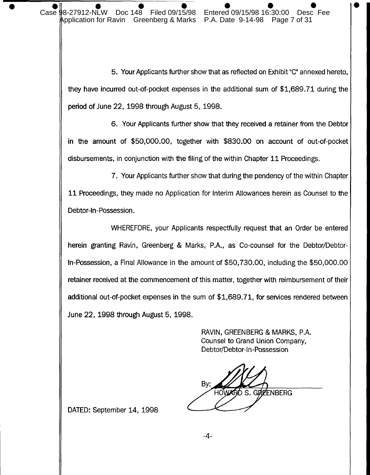5. Your Applicants further show that as reflected on Exhibit "C" annexed hereto, they have incurred out-of-pocket expenses in the additional sum of \$1,689.71 during the period of June 22, 1998 through August 5, 1998.

6. Your Applicants further show that they received a retainer from the Debtor in the amount of \$50,000.00, together with \$830.00 on account of out-of-pocket disbursements, in conjunction with the filing of the within Chapter 11 Proceedings.

7. Your Applicants further show that during the pendency of the within Chapter 11 Proceedings, they made no Application for Interim Allowances herein as Counsel to the Debtor-In-Possession.

WHEREFORE, your Applicants respectfully request that an Order be entered herein granting Ravin, Greenberg & Marks, P.A., as Co-counsel for the Debtor/Debtor-In-Possession, a Final Allowance in the amount of \$50,730.00, including the \$50,000.00 retainer received at the commencement of this matter, together with reimbursement of their additional out-of-pocket expenses in the sum of \$1,689.71, for services rendered between June 22, 1998 through August 5, 1998.

> RAVIN, GREENBERG & MARKS, P.A. Counsel to Grand Union Company. Debtor/Debtor-In-Possession

By: HOWARD S. GRZENBERG

DATED: September 14, 1998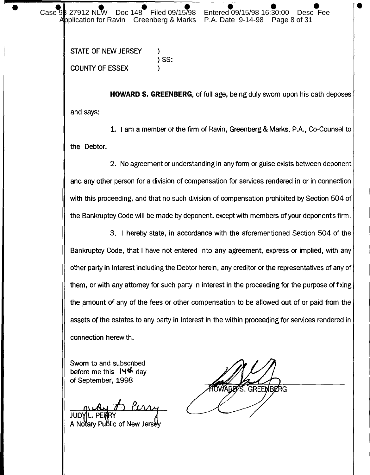Filed 09/15/98 Entered 09/15/98 16:30:00  $Case 9B-27912-NLW$ Doc 148 Application for Ravin Greenberg & Marks P.A. Date 9-14-98 Page 8 of 31

> STATE OF NEW JERSEY  $)$  SS: **COUNTY OF ESSEX**

**HOWARD S. GREENBERG**, of full age, being duly sworn upon his oath deposes and says:

1. I am a member of the firm of Ravin, Greenberg & Marks, P.A., Co-Counsel to the Debtor.

2. No agreement or understanding in any form or guise exists between deponent and any other person for a division of compensation for services rendered in or in connection with this proceeding, and that no such division of compensation prohibited by Section 504 of the Bankruptcy Code will be made by deponent, except with members of your deponent's firm.

3. I hereby state, in accordance with the aforementioned Section 504 of the Bankruptcy Code, that I have not entered into any agreement, express or implied, with any other party in interest including the Debtor herein, any creditor or the representatives of any of them, or with any attomey for such party in interest in the proceeding for the purpose of fixing the amount of any of the fees or other compensation to be allowed out of or paid from the assets of the estates to any party in interest in the within proceeding for services rendered in connection herewith.

Sworn to and subscribed before me this  $144$  day of September. 1998

**JUD'** 

A Notary Public of New Jersey

. GREEMBERG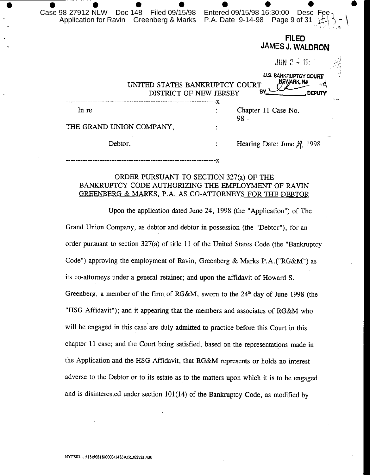| Case 98-27912-NLW  Doc 148  Filed 09/15/98<br>Application for Ravin Greenberg & Marks | Entered 09/15/98 16:30:00 Desc Fee-<br>P.A. Date 9-14-98 Page 9 of 31 |               |
|---------------------------------------------------------------------------------------|-----------------------------------------------------------------------|---------------|
|                                                                                       | <b>FILED</b><br><b>JAMES J. WALDRON</b>                               |               |
|                                                                                       | $JUN$ $2 - 19 = 1$                                                    |               |
| UNITED STATES BANKRUPTCY COURT<br>DISTRICT OF NEW JERSEY                              | <b>U.S. BANKRUPTCY COURT</b><br>NEWARK, NJ<br>B٧                      | <b>DEPUTY</b> |
| In re                                                                                 | Chapter 11 Case No.<br>98 -                                           |               |
| THE GRAND UNION COMPANY,                                                              |                                                                       |               |
| Debtor.                                                                               | Hearing Date: June $\mathcal{H}$ , 1998                               |               |
|                                                                                       |                                                                       |               |

#### ORDER PURSUANT TO SECTION 327(a) OF THE BANKRUPTCY CODE AUTHORIZING THE EMPLOYMENT OF RAVIN **GREENBERG & MARKS, P.A. AS CO-ATTORNEYS FOR THE DEBTOR**

Upon the application dated June 24, 1998 (the "Application") of The Grand Union Company, as debtor and debtor in possession (the "Debtor"), for an order pursuant to section 327(a) of title 11 of the United States Code (the "Bankruptcy Code") approving the employment of Ravin, Greenberg & Marks P.A. ("RG&M") as its co-attorneys under a general retainer; and upon the affidavit of Howard S. Greenberg, a member of the firm of RG&M, sworn to the 24<sup>th</sup> day of June 1998 (the "HSG Affidavit"); and it appearing that the members and associates of RG&M who will be engaged in this case are duly admitted to practice before this Court in this chapter 11 case; and the Court being satisfied, based on the representations made in the Application and the HSG Affidavit, that RG&M represents or holds no interest adverse to the Debtor or to its estate as to the matters upon which it is to be engaged and is disinterested under section 101(14) of the Bankruptcy Code, as modified by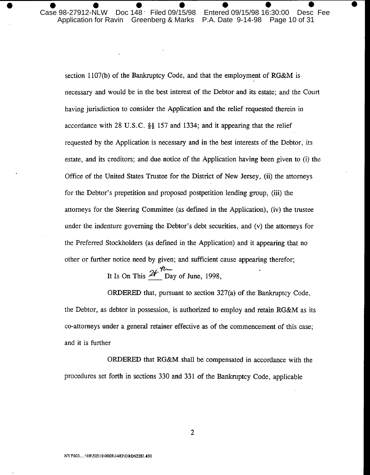Doc 148 Filed 09/15/98 Case 98-27912-NLW Entered 09/15/98 16:30:00 Desc Fee Application for Ravin Greenberg & Marks P.A. Date 9-14-98 Page 10 of 31

section 1107(b) of the Bankruptcy Code, and that the employment of RG&M is necessary and would be in the best interest of the Debtor and its estate; and the Court having jurisdiction to consider the Application and the relief requested therein in accordance with 28 U.S.C. §§ 157 and 1334; and it appearing that the relief requested by the Application is necessary and in the best interests of the Debtor, its estate, and its creditors; and due notice of the Application having been given to (i) the Office of the United States Trustee for the District of New Jersey, (ii) the attorneys for the Debtor's prepetition and proposed postpetition lending group, (iii) the attorneys for the Steering Committee (as defined in the Application), (iv) the trustee under the indenture governing the Debtor's debt securities, and (v) the attorneys for the Preferred Stockholders (as defined in the Application) and it appearing that no other or further notice need by given; and sufficient cause appearing therefor;

It Is On This  $2f^{\prime\prime}$  Day of June, 1998,

ORDERED that, pursuant to section  $327(a)$  of the Bankruptcy Code, the Debtor, as debtor in possession, is authorized to employ and retain RG&M as its co-attorneys under a general retainer effective as of the commencement of this case; and it is further

ORDERED that RG&M shall be compensated in accordance with the procedures set forth in sections 330 and 331 of the Bankruptcy Code, applicable

 $\overline{2}$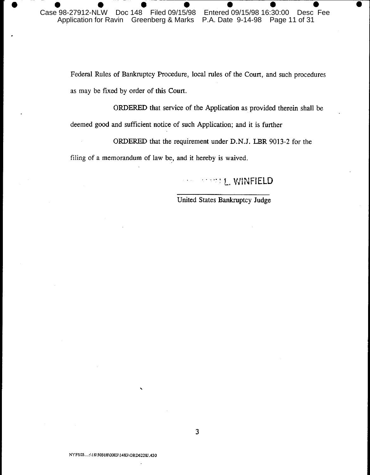Federal Rules of Bankruptcy Procedure, local rules of the Court, and such procedures as may be fixed by order of this Court.

ORDERED that service of the Application as provided therein shall be deemed good and sufficient notice of such Application; and it is further

ORDERED that the requirement under D.N.J. LBR 9013-2 for the

filing of a memorandum of law be, and it hereby is waived.

# **STAMPLE WINFIELD**

United States Bankruptcy Judge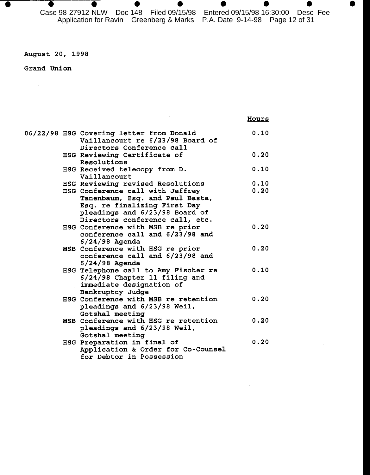$\bullet$ 

## August 20, 1998

 $\bullet$ 

 $\bullet$ 

 $\bullet$ 

## Grand Union

 $\sim 40^{\circ}$ 

| I |  |  |
|---|--|--|
|   |  |  |

|  | 06/22/98 HSG Covering letter from Donald | 0.10 |
|--|------------------------------------------|------|
|  | Vaillancourt re 6/23/98 Board of         |      |
|  | Directors Conference call                |      |
|  | HSG Reviewing Certificate of             | 0.20 |
|  | Resolutions                              |      |
|  | HSG Received telecopy from D.            | 0.10 |
|  | Vaillancourt                             |      |
|  | HSG Reviewing revised Resolutions        | 0.10 |
|  | HSG Conference call with Jeffrey         | 0.20 |
|  | Tanenbaum, Esq. and Paul Basta,          |      |
|  | Esq. re finalizing First Day             |      |
|  | pleadings and 6/23/98 Board of           |      |
|  | Directors conference call, etc.          |      |
|  | HSG Conference with MSB re prior         | 0.20 |
|  | conference call and 6/23/98 and          |      |
|  | $6/24/98$ Agenda                         |      |
|  | MSB Conference with HSG re prior         | 0.20 |
|  | conference call and 6/23/98 and          |      |
|  | $6/24/98$ Agenda                         |      |
|  | HSG Telephone call to Amy Fischer re     | 0.10 |
|  | 6/24/98 Chapter 11 filing and            |      |
|  | immediate designation of                 |      |
|  | Bankruptcy Judge                         |      |
|  | HSG Conference with MSB re retention     | 0.20 |
|  | pleadings and 6/23/98 Weil,              |      |
|  | Gotshal meeting                          |      |
|  | MSB Conference with HSG re retention     | 0.20 |
|  | pleadings and 6/23/98 Weil,              |      |
|  | Gotshal meeting                          |      |
|  | HSG Preparation in final of              | 0.20 |
|  | Application & Order for Co-Counsel       |      |
|  | for Debtor in Possession                 |      |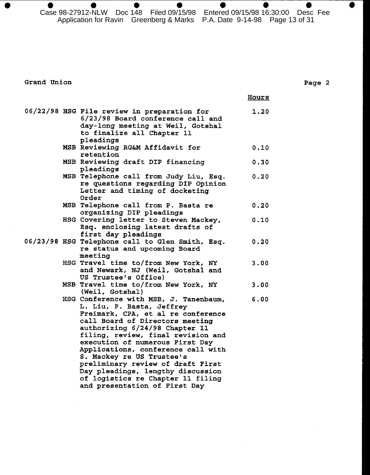$\bullet$ Case 98-27912-NLW Doc 148 Filed 09/15/98 Entered 09/15/98 16:30:00 Desc Fee Application for Ravin Greenberg & Marks P.A. Date 9-14-98 Page 13 of 31

Grand Union

|  |                                                                                                                                                                                                                                                                                                                                                                                                                                                                            | <u>Hours</u> |
|--|----------------------------------------------------------------------------------------------------------------------------------------------------------------------------------------------------------------------------------------------------------------------------------------------------------------------------------------------------------------------------------------------------------------------------------------------------------------------------|--------------|
|  | 06/22/98 HSG File review in preparation for<br>6/23/98 Board conference call and<br>day-long meeting at Weil, Gotshal<br>to finalize all Chapter 11<br>pleadings                                                                                                                                                                                                                                                                                                           | 1.20         |
|  | MSB Reviewing RG&M Affidavit for<br>retention                                                                                                                                                                                                                                                                                                                                                                                                                              | 0.10         |
|  | MSB Reviewing draft DIP financing<br>pleadings                                                                                                                                                                                                                                                                                                                                                                                                                             | 0.30         |
|  | MSB Telephone call from Judy Liu, Esq.<br>re questions regarding DIP Opinion<br>Letter and timing of docketing<br>Order                                                                                                                                                                                                                                                                                                                                                    | 0.20         |
|  | MSB Telephone call from P. Basta re<br>organizing DIP pleadings                                                                                                                                                                                                                                                                                                                                                                                                            | 0.20         |
|  | HSG Covering letter to Steven Mackey,<br>Esq. enclosing latest drafts of<br>first day pleadings                                                                                                                                                                                                                                                                                                                                                                            | 0.10         |
|  | 06/23/98 HSG Telephone call to Glen Smith, Esq.<br>re status and upcoming Board<br>meeting                                                                                                                                                                                                                                                                                                                                                                                 | 0.20         |
|  | HSG Travel time to/from New York, NY<br>and Newark, NJ (Weil, Gotshal and<br>US Trustee's Office)                                                                                                                                                                                                                                                                                                                                                                          | 3.00         |
|  | MSB Travel time to/from New York, NY<br>(Weil, Gotshal)                                                                                                                                                                                                                                                                                                                                                                                                                    | 3.00         |
|  | HSG Conference with MSB, J. Tanenbaum,<br>L. Liu, P. Basta, Jeffrey<br>Freimark, CPA, et al re conference<br>call Board of Directors meeting<br>authorizing 6/24/98 Chapter 11<br>filing, review, final revision and<br>execution of numerous First Day<br>Applications, conference call with<br>S. Mackey re US Trustee's<br>preliminary review of draft First<br>Day pleadings, lengthy discussion<br>of logistics re Chapter 11 filing<br>and presentation of First Day | 6.00         |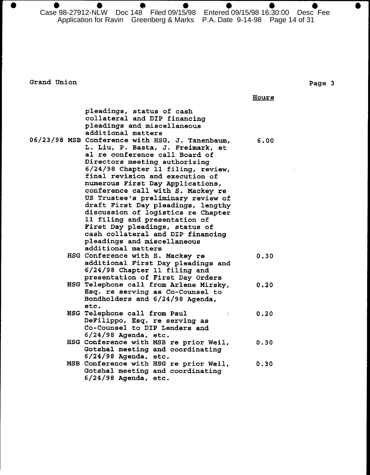Case 98-27912-NLW Doc 148 Filed 09/15/98 Entered 09/15/98 16:30:00 Desc Fee Application for Ravin Greenberg & Marks P.A. Date 9-14-98 Page 14 of 31

Grand Union

 $\bullet$ 

#### Page 3

 $\bullet$ 

**Hours** 

|  | pleadings, status of cash<br>collateral and DIP financing<br>pleadings and miscellaneous<br>additional matters                                                                                                                                                                                                                                                                                                                                                                                                                                                                           |      |
|--|------------------------------------------------------------------------------------------------------------------------------------------------------------------------------------------------------------------------------------------------------------------------------------------------------------------------------------------------------------------------------------------------------------------------------------------------------------------------------------------------------------------------------------------------------------------------------------------|------|
|  | 06/23/98 MSB Conference with HSG, J. Tanenbaum,<br>L. Liu, P. Basta, J. Freimark, et<br>al re conference call Board of<br>Directors meeting authorizing<br>6/24/98 Chapter 11 filing, review,<br>final revision and execution of<br>numerous First Day Applications,<br>conference call with S. Mackey re<br>US Trustee's preliminary review of<br>draft First Day pleadings, lengthy<br>discussion of logistics re Chapter<br>11 filing and presentation of<br>First Day pleadings, status of<br>cash collateral and DIP financing<br>pleadings and miscellaneous<br>additional matters | 6.00 |
|  | HSG Conference with S. Mackey re<br>additional First Day pleadings and<br>6/24/98 Chapter 11 filing and<br>presentation of First Day Orders                                                                                                                                                                                                                                                                                                                                                                                                                                              | 0.30 |
|  | HSG Telephone call from Arlene Mirsky,<br>Esq. re serving as Co-Counsel to<br>Bondholders and 6/24/98 Agenda,<br>etc.                                                                                                                                                                                                                                                                                                                                                                                                                                                                    | 0.20 |
|  | HSG Telephone call from Paul<br>Š.<br>DeFilippo, Esq. re serving as<br>Co-Counsel to DIP Lenders and<br>$6/24/98$ Agenda, etc.                                                                                                                                                                                                                                                                                                                                                                                                                                                           | 0.20 |
|  | HSG Conference with MSB re prior Weil,<br>Gotshal meeting and coordinating<br>$6/24/98$ Agenda, etc.                                                                                                                                                                                                                                                                                                                                                                                                                                                                                     | 0.30 |
|  | MSB Conference with HSG re prior Weil,<br>Gotshal meeting and coordinating<br>$6/24/98$ Agenda, etc.                                                                                                                                                                                                                                                                                                                                                                                                                                                                                     | 0.30 |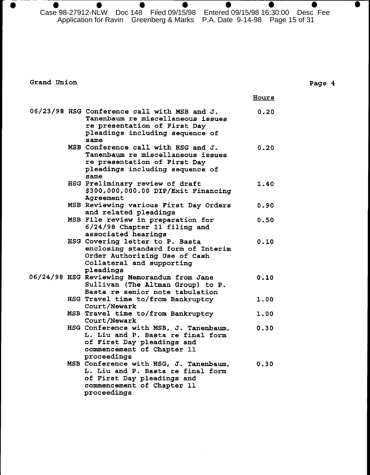$\bullet$  $\bullet$  $\bullet$  $\bullet$ ●  $\bullet$ Case 98-27912-NLW Doc 148 Filed 09/15/98 Entered 09/15/98 16:30:00 Desc Fee Application for Ravin Greenberg & Marks P.A. Date 9-14-98 Page 15 of 31

 $\bullet$ 

Grand Union

 $\bullet$ 

|  |                                                                                                                                                              | <u>Hours</u> |
|--|--------------------------------------------------------------------------------------------------------------------------------------------------------------|--------------|
|  | 06/23/98 HSG Conference call with MSB and J.<br>Tanenbaum re miscellaneous issues<br>re presentation of First Day<br>pleadings including sequence of<br>same | 0.20         |
|  | MSB Conference call with HSG and J.<br>Tanenbaum re miscellaneous issues<br>re presentation of First Day<br>pleadings including sequence of<br>same          | 0.20         |
|  | HSG Preliminary review of draft<br>\$300,000,000.00 DIP/Exit Financing<br>Agreement                                                                          | 1.40         |
|  | MSB Reviewing various First Day Orders<br>and related pleadings                                                                                              | 0.90         |
|  | MSB File review in preparation for<br>$6/24/98$ Chapter 11 filing and<br>associated hearings                                                                 | 0.50         |
|  | HSG Covering letter to P. Basta<br>enclosing standard form of Interim<br>Order Authorizing Use of Cash<br>Collateral and supporting<br>pleadings             | 0.10         |
|  | 06/24/98 HSG Reviewing Memorandum from Jane<br>Sullivan (The Altman Group) to P.<br>Basta re senior note tabulation                                          | 0.10         |
|  | HSG Travel time to/from Bankruptcy<br>Court/Newark                                                                                                           | 1.00         |
|  | MSB Travel time to/from Bankruptcy<br>Court/Newark                                                                                                           | 1.00         |
|  | HSG Conference with MSB, J. Tanenbaum,<br>L. Liu and P. Basta re final form<br>of First Day pleadings and<br>commencement of Chapter 11<br>proceedings       | 0.30         |
|  | MSB Conference with HSG, J. Tanenbaum,<br>L. Liu and P. Basta re final form<br>of First Day pleadings and<br>commencement of Chapter 11<br>proceedings       | 0.30         |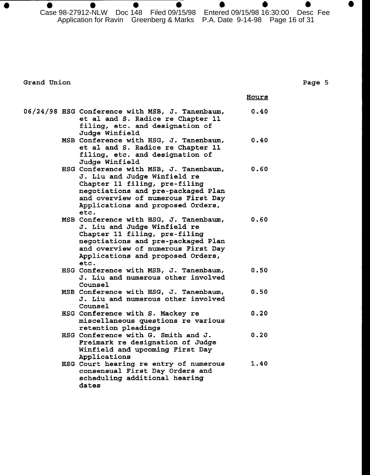$\bullet$ Case 98-27912-NLW Doc 148 Filed 09/15/98 Entered 09/15/98 16:30:00 Desc Fee Application for Ravin Greenberg & Marks P.A. Date 9-14-98 Page 16 of 31

Grand Union

|  |                                                                                                                                                                                                                                  | Hours |
|--|----------------------------------------------------------------------------------------------------------------------------------------------------------------------------------------------------------------------------------|-------|
|  | 06/24/98 HSG Conference with MSB, J. Tanenbaum,<br>et al and S. Radice re Chapter 11<br>filing, etc. and designation of<br>Judge Winfield                                                                                        | 0.40  |
|  | MSB Conference with HSG, J. Tanenbaum,<br>et al and S. Radice re Chapter 11<br>filing, etc. and designation of<br>Judge Winfield                                                                                                 | 0.40  |
|  | HSG Conference with MSB, J. Tanenbaum,<br>J. Liu and Judge Winfield re<br>Chapter 11 filing, pre-filing<br>negotiations and pre-packaged Plan<br>and overview of numerous First Day<br>Applications and proposed Orders,<br>etc. | 0.60  |
|  | MSB Conference with HSG, J. Tanenbaum,<br>J. Liu and Judge Winfield re<br>Chapter 11 filing, pre-filing<br>negotiations and pre-packaged Plan<br>and overview of numerous First Day<br>Applications and proposed Orders,<br>etc. | 0.60  |
|  | HSG Conference with MSB, J. Tanenbaum,<br>J. Liu and numerous other involved<br>Counsel                                                                                                                                          | 0.50  |
|  | MSB Conference with HSG, J. Tanenbaum,<br>J. Liu and numerous other involved<br>Counsel                                                                                                                                          | 0.50  |
|  | HSG Conference with S. Mackey re<br>miscellaneous questions re various<br>retention pleadings                                                                                                                                    | 0.20  |
|  | HSG Conference with G. Smith and J.<br>Freimark re designation of Judge<br>Winfield and upcoming First Day<br>Applications                                                                                                       | 0.20  |
|  | HSG Court hearing re entry of numerous<br>consensual First Day Orders and<br>scheduling additional hearing<br>dates                                                                                                              | 1.40  |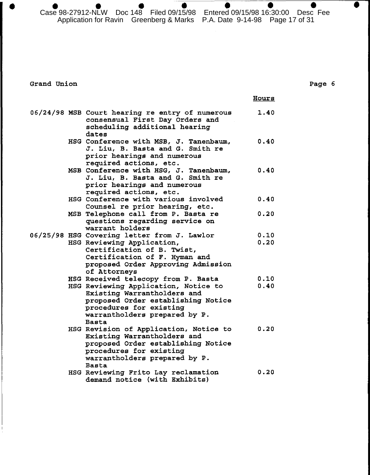Case 98-27912-NLW Doc 148 Filed 09/15/98 Entered 09/15/98 16:30:00 Desc Fee Application for Ravin Greenberg & Marks P.A. Date 9-14-98 Page 17 of 31

Grand Union

|  |                                                                                                                                                                                                                              | Hours        |
|--|------------------------------------------------------------------------------------------------------------------------------------------------------------------------------------------------------------------------------|--------------|
|  | 06/24/98 MSB Court hearing re entry of numerous<br>consensual First Day Orders and<br>scheduling additional hearing<br>dates                                                                                                 | 1.40         |
|  | HSG Conference with MSB, J. Tanenbaum,<br>J. Liu, B. Basta and G. Smith re<br>prior hearings and numerous<br>required actions, etc.                                                                                          | 0.40         |
|  | MSB Conference with HSG, J. Tanenbaum,<br>J. Liu, B. Basta and G. Smith re<br>prior hearings and numerous<br>required actions, etc.                                                                                          | 0.40         |
|  | HSG Conference with various involved<br>Counsel re prior hearing, etc.                                                                                                                                                       | 0.40         |
|  | MSB Telephone call from P. Basta re<br>questions regarding service on<br>warrant holders                                                                                                                                     | 0.20         |
|  | 06/25/98 HSG Covering letter from J. Lawlor<br>HSG Reviewing Application,<br>Certification of B. Twist,<br>Certification of F. Hyman and<br>proposed Order Approving Admission<br>of Attorneys                               | 0.10<br>0.20 |
|  | HSG Received telecopy from P. Basta<br>HSG Reviewing Application, Notice to<br>Existing Warrantholders and<br>proposed Order establishing Notice<br>procedures for existing<br>warrantholders prepared by P.<br><b>Basta</b> | 0.10<br>0.40 |
|  | HSG Revision of Application, Notice to<br>Existing Warrantholders and<br>proposed Order establishing Notice<br>procedures for existing<br>warrantholders prepared by P.<br><b>Basta</b>                                      | 0.20         |
|  | HSG Reviewing Frito Lay reclamation<br>demand notice (with Exhibits)                                                                                                                                                         | 0.20         |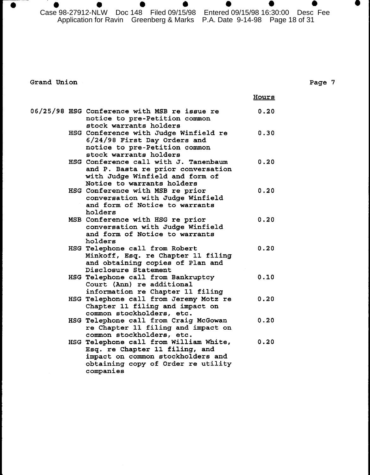Case 98-27912-NLW Doc 148 Filed 09/15/98 Entered 09/15/98 16:30:00 Desc Fee Application for Ravin Greenberg & Marks P.A. Date 9-14-98 Page 18 of 31

Grand Union

 $\bullet$ 

|  |                                                                                                                                                                  | Hours |
|--|------------------------------------------------------------------------------------------------------------------------------------------------------------------|-------|
|  | 06/25/98 HSG Conference with MSB re issue re<br>notice to pre-Petition common<br>stock warrants holders                                                          | 0.20  |
|  | HSG Conference with Judge Winfield re<br>6/24/98 First Day Orders and<br>notice to pre-Petition common<br>stock warrants holders                                 | 0.30  |
|  | HSG Conference call with J. Tanenbaum<br>and P. Basta re prior conversation<br>with Judge Winfield and form of<br>Notice to warrants holders                     | 0.20  |
|  | HSG Conference with MSB re prior<br>conversation with Judge Winfield<br>and form of Notice to warrants<br>holders                                                | 0.20  |
|  | MSB Conference with HSG re prior<br>conversation with Judge Winfield<br>and form of Notice to warrants<br>holders                                                | 0.20  |
|  | HSG Telephone call from Robert<br>Minkoff, Esq. re Chapter 11 filing<br>and obtaining copies of Plan and<br>Disclosure Statement                                 | 0.20  |
|  | HSG Telephone call from Bankruptcy<br>Court (Ann) re additional<br>information re Chapter 11 filing                                                              | 0.10  |
|  | HSG Telephone call from Jeremy Motz re<br>Chapter 11 filing and impact on<br>common stockholders, etc.                                                           | 0.20  |
|  | HSG Telephone call from Craig McGowan<br>re Chapter 11 filing and impact on<br>common stockholders, etc.                                                         | 0.20  |
|  | HSG Telephone call from William White,<br>Esq. re Chapter 11 filing, and<br>impact on common stockholders and<br>obtaining copy of Order re utility<br>companies | 0.20  |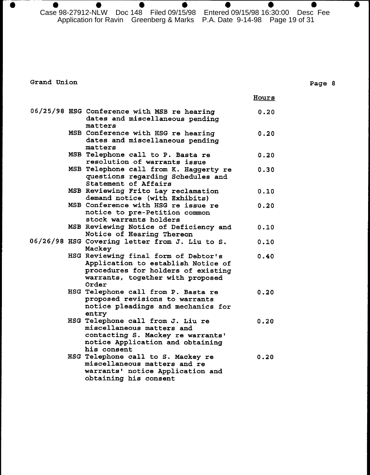$\bullet$  $\bullet$  $\bullet$  $\bullet$  $\bullet$  $\bullet$ Case 98-27912-NLW Doc 148 Filed 09/15/98 Entered 09/15/98 16:30:00 Desc Fee Application for Ravin Greenberg & Marks P.A. Date 9-14-98 Page 19 of 31

 $\bullet$ 

Grand Union

|  |                                                                                                                                                               | <u>Hours</u> |
|--|---------------------------------------------------------------------------------------------------------------------------------------------------------------|--------------|
|  | 06/25/98 HSG Conference with MSB re hearing<br>dates and miscellaneous pending<br>matters                                                                     | 0.20         |
|  | MSB Conference with HSG re hearing<br>dates and miscellaneous pending<br>matters                                                                              | 0.20         |
|  | MSB Telephone call to P. Basta re<br>resolution of warrants issue                                                                                             | 0.20         |
|  | MSB Telephone call from K. Haggerty re<br>questions regarding Schedules and<br>Statement of Affairs                                                           | 0.30         |
|  | MSB Reviewing Frito Lay reclamation<br>demand notice (with Exhibits)                                                                                          | 0.10         |
|  | MSB Conference with HSG re issue re<br>notice to pre-Petition common<br>stock warrants holders                                                                | 0.20         |
|  | MSB Reviewing Notice of Deficiency and<br>Notice of Hearing Thereon                                                                                           | 0.10         |
|  | 06/26/98 HSG Covering letter from J. Liu to S.<br>Mackey                                                                                                      | 0.10         |
|  | HSG Reviewing final form of Debtor's<br>Application to establish Notice of<br>procedures for holders of existing<br>warrants, together with proposed<br>Order | 0.40         |
|  | HSG Telephone call from P. Basta re<br>proposed revisions to warrants<br>notice pleadings and mechanics for<br>entry                                          | 0.20         |
|  | HSG Telephone call from J. Liu re<br>miscellaneous matters and<br>contacting S. Mackey re warrants'<br>notice Application and obtaining<br>his consent        | 0.20         |
|  | HSG Telephone call to S. Mackey re<br>miscellaneous matters and re<br>warrants' notice Application and<br>obtaining his consent                               | 0.20         |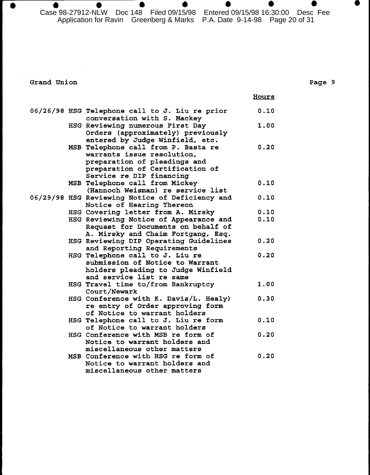$\bullet$ Case 98-27912-NLW Doc 148 Filed 09/15/98 Entered 09/15/98 16:30:00 Desc Fee Application for Ravin Greenberg & Marks P.A. Date 9-14-98 Page 20 of 31

4

Hours

 $\bullet$ 

Grand Union

 $\bullet$ 

## Page 9

 $\bullet$ 

|  | 06/26/98 HSG Telephone call to J. Liu re prior  | 0.10 |
|--|-------------------------------------------------|------|
|  | conversation with S. Mackey                     |      |
|  | HSG Reviewing numerous First Day                | 1.00 |
|  | Orders (approximately) previously               |      |
|  | entered by Judge Winfield, etc.                 |      |
|  | MSB Telephone call from P. Basta re             | 0.20 |
|  | warrants issue resolution,                      |      |
|  | preparation of pleadings and                    |      |
|  | preparation of Certification of                 |      |
|  | Service re DIP financing                        |      |
|  |                                                 |      |
|  | MSB Telephone call from Mickey                  | 0.10 |
|  | (Hannoch Weisman) re service list               |      |
|  | 06/29/98 HSG Reviewing Notice of Deficiency and | 0.10 |
|  | Notice of Hearing Thereon                       |      |
|  | HSG Covering letter from A. Mirsky              | 0.10 |
|  | HSG Reviewing Notice of Appearance and          | 0.10 |
|  | Request for Documents on behalf of              |      |
|  | A. Mirsky and Chaim Fortgang, Esq.              |      |
|  | HSG Reviewing DIP Operating Guidelines          | 0.20 |
|  | and Reporting Requirements                      |      |
|  | HSG Telephone call to J. Liu re                 | 0.20 |
|  | submission of Notice to Warrant                 |      |
|  | holders pleading to Judge Winfield              |      |
|  | and service list re same                        |      |
|  |                                                 |      |
|  | HSG Travel time to/from Bankruptcy              | 1.00 |
|  | Court/Newark                                    |      |
|  | HSG Conference with K. Davis/L. Healy)          | 0.30 |
|  | re entry of Order approving form                |      |
|  | of Notice to warrant holders                    |      |
|  | HSG Telephone call to J. Liu re form            | 0.10 |
|  | of Notice to warrant holders                    |      |
|  | HSG Conference with MSB re form of              | 0.20 |
|  | Notice to warrant holders and                   |      |
|  | miscellaneous other matters                     |      |
|  | MSB Conference with HSG re form of              | 0.20 |
|  | Notice to warrant holders and                   |      |
|  | miscellaneous other matters                     |      |
|  |                                                 |      |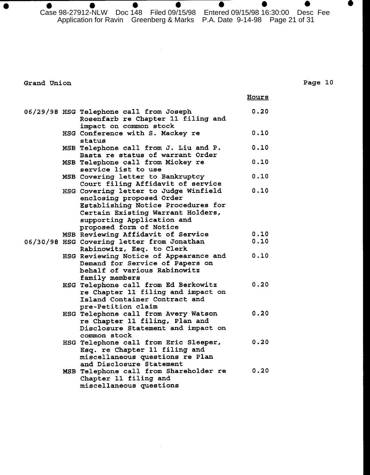Case 98-27912-NLW Doc 148 Filed 09/15/98 Entered 09/15/98 16:30:00 Desc Fee Application for Ravin Greenberg & Marks P.A. Date 9-14-98 Page 21 of 31

Grand Union

 $\bullet$ 

## Page 10

Hours

|  | 06/29/98 HSG Telephone call from Joseph    | 0.20 |
|--|--------------------------------------------|------|
|  | Rosenfarb re Chapter 11 filing and         |      |
|  | impact on common stock                     |      |
|  | HSG Conference with S. Mackey re           | 0.10 |
|  | status                                     |      |
|  | MSB Telephone call from J. Liu and P.      | 0.10 |
|  | Basta re status of warrant Order           |      |
|  | MSB Telephone call from Mickey re          | 0.10 |
|  | service list to use                        |      |
|  | MSB Covering letter to Bankruptcy          | 0.10 |
|  | Court filing Affidavit of service          |      |
|  | HSG Covering letter to Judge Winfield      | 0.10 |
|  | enclosing proposed Order                   |      |
|  | Establishing Notice Procedures for         |      |
|  | Certain Existing Warrant Holders,          |      |
|  | supporting Application and                 |      |
|  | proposed form of Notice                    |      |
|  | MSB Reviewing Affidavit of Service         | 0.10 |
|  | 06/30/98 HSG Covering letter from Jonathan | 0.10 |
|  | Rabinowitz, Esq. to Clerk                  |      |
|  | HSG Reviewing Notice of Appearance and     | 0.10 |
|  | Demand for Service of Papers on            |      |
|  | behalf of various Rabinowitz               |      |
|  | family members                             |      |
|  | HSG Telephone call from Ed Berkowitz       | 0.20 |
|  | re Chapter 11 filing and impact on         |      |
|  | Island Container Contract and              |      |
|  | pre-Petition claim                         |      |
|  | HSG Telephone call from Avery Watson       | 0.20 |
|  | re Chapter 11 filing, Plan and             |      |
|  | Disclosure Statement and impact on         |      |
|  | common stock                               |      |
|  | HSG Telephone call from Eric Sleeper,      | 0.20 |
|  | Esq. re Chapter 11 filing and              |      |
|  | miscellaneous questions re Plan            |      |
|  | and Disclosure Statement                   |      |
|  | MSB Telephone call from Shareholder re     | 0.20 |
|  | Chapter 11 filing and                      |      |
|  | miscellaneous questions                    |      |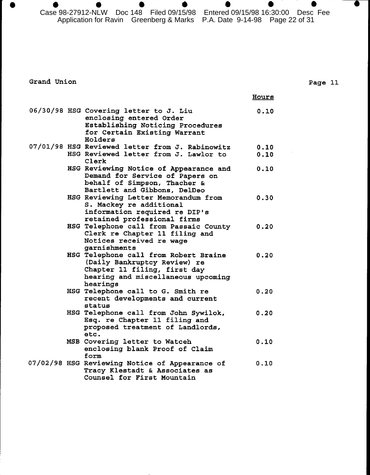Case 98-27912-NLW Doc 148 Filed 09/15/98 Entered 09/15/98 16:30:00 Desc Fee Application for Ravin Greenberg & Marks P.A. Date 9-14-98 Page 22 of 31

Grand Union

 $\bullet$ 

Page 11

D

|  |                                                                                                                                                         | Hours        |
|--|---------------------------------------------------------------------------------------------------------------------------------------------------------|--------------|
|  | 06/30/98 HSG Covering letter to J. Liu<br>enclosing entered Order<br>Establishing Noticing Procedures<br>for Certain Existing Warrant<br>Holders        | 0.10         |
|  | 07/01/98 HSG Reviewed letter from J. Rabinowitz<br>HSG Reviewed letter from J. Lawlor to<br>Clerk                                                       | 0.10<br>0.10 |
|  | HSG Reviewing Notice of Appearance and<br>Demand for Service of Papers on<br>behalf of Simpson, Thacher &<br>Bartlett and Gibbons, DelDeo               | 0.10         |
|  | HSG Reviewing Letter Memorandum from<br>S. Mackey re additional<br>information required re DIP's<br>retained professional firms                         | 0.30         |
|  | HSG Telephone call from Passaic County<br>Clerk re Chapter 11 filing and<br>Notices received re wage<br>garnishments                                    | 0.20         |
|  | HSG Telephone call from Robert Braine<br>(Daily Bankruptcy Review) re<br>Chapter 11 filing, first day<br>hearing and miscellaneous upcoming<br>hearings | 0.20         |
|  | HSG Telephone call to G. Smith re<br>recent developments and current<br>status                                                                          | 0.20         |
|  | HSG Telephone call from John Sywilok,<br>Esq. re Chapter 11 filing and<br>proposed treatment of Landlords,<br>etc.                                      | 0.20         |
|  | MSB Covering letter to Watceh<br>enclosing blank Proof of Claim<br>form                                                                                 | 0.10         |
|  | 07/02/98 HSG Reviewing Notice of Appearance of<br>Tracy Klestadt & Associates as<br>Counsel for First Mountain                                          | 0.10         |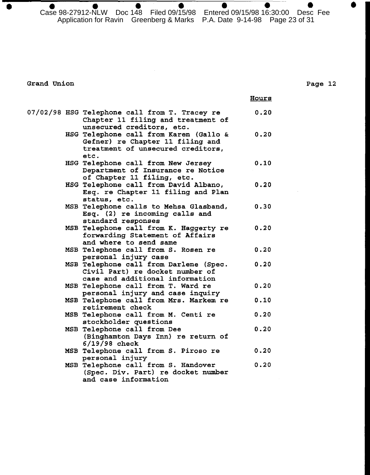Case 98-27912-NLW Doc 148 Filed 09/15/98 Entered 09/15/98 16:30:00 Desc Fee Application for Ravin Greenberg & Marks P.A. Date 9-14-98 Page 23 of 31

Grand Union

 $\bullet$ 

Page 12

.

|  |                                                                                                                         | Hours |
|--|-------------------------------------------------------------------------------------------------------------------------|-------|
|  | 07/02/98 HSG Telephone call from T. Tracey re<br>Chapter 11 filing and treatment of<br>unsecured creditors, etc.        | 0.20  |
|  | HSG Telephone call from Karen (Gallo &<br>Gefner) re Chapter 11 filing and<br>treatment of unsecured creditors,<br>etc. | 0.20  |
|  | HSG Telephone call from New Jersey<br>Department of Insurance re Notice<br>of Chapter 11 filing, etc.                   | 0.10  |
|  | HSG Telephone call from David Albano,<br>Esq. re Chapter 11 filing and Plan<br>status, etc.                             | 0.20  |
|  | MSB Telephone calls to Mehsa Glasband,<br>Esq. (2) re incoming calls and<br>standard responses                          | 0.30  |
|  | MSB Telephone call from K. Haggerty re<br>forwarding Statement of Affairs<br>and where to send same                     | 0.20  |
|  | MSB Telephone call from S. Rosen re<br>personal injury case                                                             | 0.20  |
|  | MSB Telephone call from Darlene (Spec.<br>Civil Part) re docket number of<br>case and additional information            | 0.20  |
|  | MSB Telephone call from T. Ward re<br>personal injury and case inquiry                                                  | 0.20  |
|  | MSB Telephone call from Mrs. Markem re<br>retirement check                                                              | 0.10  |
|  | MSB Telephone call from M. Centi re<br>stockholder questions                                                            | 0.20  |
|  | MSB Telephone call from Dee<br>(Binghamton Days Inn) re return of<br>$6/19/98$ check                                    | 0.20  |
|  | MSB Telephone call from S. Piroso re<br>personal injury                                                                 | 0.20  |
|  | MSB Telephone call from S. Handover<br>(Spec. Div. Part) re docket number<br>and case information                       | 0.20  |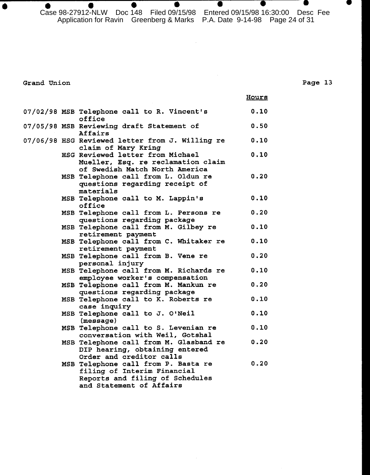Case 98-27912-NLW Doc 148 Filed 09/15/98 Entered 09/15/98 16:30:00 Desc Fee Application for Ravin Greenberg & Marks P.A. Date 9-14-98 Page 24 of 31

 $\bar{\beta}$ 

Grand Union

 $\bullet$ 

 $\overline{\phantom{a}}$   $\overline{\phantom{a}}$ 

|  |                                                                                                                                   | Hours |
|--|-----------------------------------------------------------------------------------------------------------------------------------|-------|
|  | 07/02/98 MSB Telephone call to R. Vincent's<br>office                                                                             | 0.10  |
|  | 07/05/98 MSB Reviewing draft Statement of<br>Affairs                                                                              | 0.50  |
|  | 07/06/98 HSG Reviewed letter from J. Willing re<br>claim of Mary Kring                                                            | 0.10  |
|  | HSG Reviewed letter from Michael<br>Mueller, Esq. re reclamation claim<br>of Swedish Match North America                          | 0.10  |
|  | MSB Telephone call from L. Oldun re<br>questions regarding receipt of<br>materials                                                | 0.20  |
|  | MSB Telephone call to M. Lappin's<br>office                                                                                       | 0.10  |
|  | MSB Telephone call from L. Persons re<br>questions regarding package                                                              | 0.20  |
|  | MSB Telephone call from M. Gilbey re<br>retirement payment                                                                        | 0.10  |
|  | MSB Telephone call from C. Whitaker re<br>retirement payment                                                                      | 0.10  |
|  | MSB Telephone call from B. Vene re<br>personal injury                                                                             | 0.20  |
|  | MSB Telephone call from M. Richards re<br>employee worker's compensation                                                          | 0.10  |
|  | MSB Telephone call from M. Mankun re<br>questions regarding package                                                               | 0.20  |
|  | MSB Telephone call to K. Roberts re<br>case inquiry                                                                               | 0.10  |
|  | MSB Telephone call to J. O'Neil<br>(message)                                                                                      | 0.10  |
|  | MSB Telephone call to S. Levenian re<br>conversation with Weil, Gotshal                                                           | 0.10  |
|  | MSB Telephone call from M. Glasband re<br>DIP hearing, obtaining entered<br>Order and creditor calls                              | 0.20  |
|  | MSB Telephone call from P. Basta re<br>filing of Interim Financial<br>Reports and filing of Schedules<br>and Statement of Affairs | 0.20  |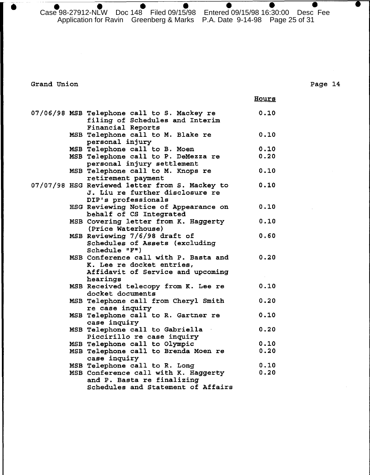Case 98-27912-NLW Doc 148 Filed 09/15/98 Entered 09/15/98 16:30:00 Desc Fee Application for Ravin Greenberg & Marks P.A. Date 9-14-98 Page 25 of 31

Grand Union

Page 14

 $\bullet$ 

 $\bullet$ 

n

|  |                                                      | <b>Hours</b> |
|--|------------------------------------------------------|--------------|
|  | 07/06/98 MSB Telephone call to S. Mackey re          | 0.10         |
|  | filing of Schedules and Interim<br>Financial Reports |              |
|  | MSB Telephone call to M. Blake re                    | 0.10         |
|  | personal injury                                      |              |
|  | MSB Telephone call to B. Moen                        | 0.10         |
|  | MSB Telephone call to P. DeMezza re                  | 0.20         |
|  | personal injury settlement                           |              |
|  | MSB Telephone call to M. Knops re                    | 0.10         |
|  | retirement payment                                   |              |
|  | 07/07/98 HSG Reviewed letter from S. Mackey to       | 0.10         |
|  | J. Liu re further disclosure re                      |              |
|  | DIP's professionals                                  |              |
|  | HSG Reviewing Notice of Appearance on                | 0.10         |
|  | behalf of CS Integrated                              |              |
|  | MSB Covering letter from K. Haggerty                 | 0.10         |
|  | (Price Waterhouse)                                   |              |
|  | MSB Reviewing 7/6/98 draft of                        | 0.60         |
|  | Schedules of Assets (excluding<br>Schedule "F")      |              |
|  | MSB Conference call with P. Basta and                | 0.20         |
|  | K. Lee re docket entries,                            |              |
|  | Affidavit of Service and upcoming                    |              |
|  | hearings                                             |              |
|  | MSB Received telecopy from K. Lee re                 | 0.10         |
|  | docket documents                                     |              |
|  | MSB Telephone call from Cheryl Smith                 | 0.20         |
|  | re case inquiry                                      |              |
|  | MSB Telephone call to R. Gartner re                  | 0.10         |
|  | case inquiry                                         |              |
|  | MSB Telephone call to Gabriella                      | 0.20         |
|  | Piccirillo re case inquiry                           |              |
|  | MSB Telephone call to Olympic                        | 0.10         |
|  | MSB Telephone call to Brenda Moen re                 | 0.20         |
|  | case inquiry                                         |              |
|  | MSB Telephone call to R. Long                        | 0.10         |
|  | MSB Conference call with K. Haggerty                 | 0.20         |
|  | and P. Basta re finalizing                           |              |
|  | Schedules and Statement of Affairs                   |              |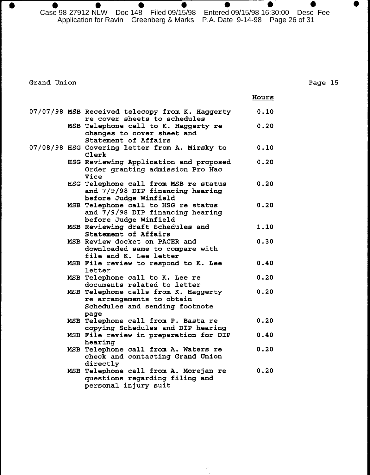$\bullet$  $\bullet$  $\bullet$  $\bullet$  $\bullet$  $\bullet$ Case 98-27912-NLW Doc 148 Filed 09/15/98 Entered 09/15/98 16:30:00 Desc Fee Application for Ravin Greenberg & Marks P.A. Date 9-14-98 Page 26 of 31

## Grand Union

 $\bullet$ 

#### Page 15

 $\bullet$ 

|  |                                                                                                             | Hours |
|--|-------------------------------------------------------------------------------------------------------------|-------|
|  | 07/07/98 MSB Received telecopy from K. Haggerty<br>re cover sheets to schedules                             | 0.10  |
|  | MSB Telephone call to K. Haggerty re<br>changes to cover sheet and<br>Statement of Affairs                  | 0.20  |
|  | 07/08/98 HSG Covering letter from A. Mirsky to<br>Clerk                                                     | 0.10  |
|  | HSG Reviewing Application and proposed<br>Order granting admission Pro Hac<br>Vice                          | 0.20  |
|  | HSG Telephone call from MSB re status<br>and 7/9/98 DIP financing hearing<br>before Judge Winfield          | 0.20  |
|  | MSB Telephone call to HSG re status<br>and 7/9/98 DIP financing hearing<br>before Judge Winfield            | 0.20  |
|  | MSB Reviewing draft Schedules and<br>Statement of Affairs                                                   | 1.10  |
|  | MSB Review docket on PACER and<br>downloaded same to compare with<br>file and K. Lee letter                 | 0.30  |
|  | MSB File review to respond to K. Lee<br>letter                                                              | 0.40  |
|  | MSB Telephone call to K. Lee re<br>documents related to letter                                              | 0.20  |
|  | MSB Telephone calls from K. Haggerty<br>re arrangements to obtain<br>Schedules and sending footnote<br>page | 0.20  |
|  | MSB Telephone call from P. Basta re<br>copying Schedules and DIP hearing                                    | 0.20  |
|  | MSB File review in preparation for DIP<br>hearing                                                           | 0.40  |
|  | MSB Telephone call from A. Waters re<br>check and contacting Grand Union<br>directly                        | 0.20  |
|  | MSB Telephone call from A. Morejan re<br>questions regarding filing and<br>personal injury suit             | 0.20  |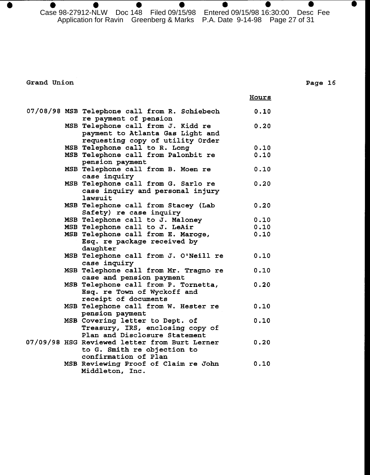$\bullet$  $\bullet$  $\bullet$  $\bullet$ Case 98-27912-NLW Doc 148 Filed 09/15/98 Entered 09/15/98 16:30:00 Desc Fee Application for Ravin Greenberg & Marks P.A. Date 9-14-98 Page 27 of 31

D

Grand Union

 $\bullet$ 

## Page 16

●

|  |                                               | Hours |
|--|-----------------------------------------------|-------|
|  | 07/08/98 MSB Telephone call from R. Schiebech | 0.10  |
|  | re payment of pension                         |       |
|  | MSB Telephone call from J. Kidd re            | 0.20  |
|  | payment to Atlanta Gas Light and              |       |
|  | requesting copy of utility Order              |       |
|  | MSB Telephone call to R. Long                 | 0.10  |
|  | MSB Telephone call from Palonbit re           | 0.10  |
|  | pension payment                               |       |
|  | MSB Telephone call from B. Moen re            | 0.10  |
|  | case inquiry                                  |       |
|  | MSB Telephone call from G. Sarlo re           | 0.20  |
|  | case inquiry and personal injury              |       |
|  | lawsuit                                       |       |
|  | MSB Telephone call from Stacey (Lab           | 0.20  |
|  | Safety) re case inquiry                       |       |
|  | MSB Telephone call to J. Maloney              | 0.10  |
|  | MSB Telephone call to J. LeAir                | 0.10  |
|  | MSB Telephone call from E. Maroge,            | 0.10  |
|  | Esq. re package received by                   |       |
|  | daughter                                      |       |
|  | MSB Telephone call from J. O'Neill re         | 0.10  |
|  | case inquiry                                  |       |
|  | MSB Telephone call from Mr. Tragno re         | 0.10  |
|  | case and pension payment                      |       |
|  | MSB Telephone call from P. Tornetta,          | 0.20  |
|  | Esq. re Town of Wyckoff and                   |       |
|  |                                               |       |
|  | receipt of documents                          | 0.10  |
|  | MSB Telephone call from W. Hester re          |       |
|  | pension payment                               |       |
|  | MSB Covering letter to Dept. of               | 0.10  |
|  | Treasury, IRS, enclosing copy of              |       |
|  | Plan and Disclosure Statement                 |       |
|  | 07/09/98 HSG Reviewed letter from Burt Lerner | 0.20  |
|  | to G. Smith re objection to                   |       |
|  | confirmation of Plan                          |       |
|  | MSB Reviewing Proof of Claim re John          | 0.10  |
|  | Middleton, Inc.                               |       |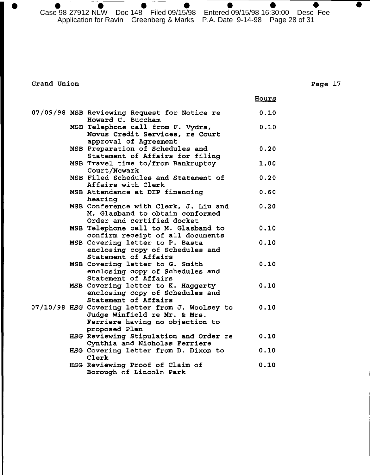Case 98-27912-NLW Doc 148 Filed 09/15/98 Entered 09/15/98 16:30:00 Desc Fee Application for Ravin Greenberg & Marks P.A. Date 9-14-98 Page 28 of 31

## Grand Union

|  |                                                                                                                                     | <b>Hours</b> |
|--|-------------------------------------------------------------------------------------------------------------------------------------|--------------|
|  | 07/09/98 MSB Reviewing Request for Notice re<br>Howard C. Buccham                                                                   | 0.10         |
|  | MSB Telephone call from F. Vydra,<br>Novus Credit Services, re Court<br>approval of Agreement                                       | 0.10         |
|  | MSB Preparation of Schedules and<br>Statement of Affairs for filing                                                                 | 0.20         |
|  | MSB Travel time to/from Bankruptcy<br>Court/Newark                                                                                  | 1.00         |
|  | MSB Filed Schedules and Statement of<br>Affairs with Clerk                                                                          | 0.20         |
|  | MSB Attendance at DIP financing<br>hearing                                                                                          | 0.60         |
|  | MSB Conference with Clerk, J. Liu and<br>M. Glasband to obtain conformed<br>Order and certified docket                              | 0.20         |
|  | MSB Telephone call to M. Glasband to<br>confirm receipt of all documents                                                            | 0.10         |
|  | MSB Covering letter to P. Basta<br>enclosing copy of Schedules and<br>Statement of Affairs                                          | 0.10         |
|  | MSB Covering letter to G. Smith<br>enclosing copy of Schedules and<br>Statement of Affairs                                          | 0.10         |
|  | MSB Covering letter to K. Haggerty<br>enclosing copy of Schedules and<br>Statement of Affairs                                       | 0.10         |
|  | 07/10/98 HSG Covering letter from J. Woolsey to<br>Judge Winfield re Mr. & Mrs.<br>Ferriere having no objection to<br>proposed Plan | 0.10         |
|  | HSG Reviewing Stipulation and Order re<br>Cynthia and Nicholas Ferriere                                                             | 0.10         |
|  | HSG Covering letter from D. Dixon to<br>Clerk                                                                                       | 0.10         |
|  | HSG Reviewing Proof of Claim of<br>Borough of Lincoln Park                                                                          | 0.10         |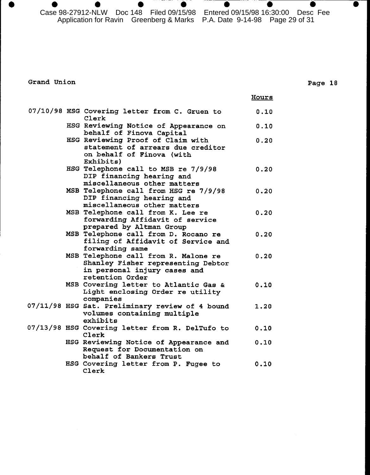Case 98-27912-NLW Doc 148 Filed 09/15/98 Entered 09/15/98 16:30:00 Desc Fee Application for Ravin Greenberg & Marks P.A. Date 9-14-98 Page 29 of 31

0

Grand Union

 $\bullet$ 

 $\bullet$ 

|  |                                                                                                                               | Hours |
|--|-------------------------------------------------------------------------------------------------------------------------------|-------|
|  | 07/10/98 HSG Covering letter from C. Gruen to<br>Clerk                                                                        | 0.10  |
|  | HSG Reviewing Notice of Appearance on<br>behalf of Finova Capital                                                             | 0.10  |
|  | HSG Reviewing Proof of Claim with<br>statement of arrears due creditor<br>on behalf of Finova (with<br>Exhibits)              | 0.20  |
|  | HSG Telephone call to MSB re 7/9/98<br>DIP financing hearing and<br>miscellaneous other matters                               | 0.20  |
|  | MSB Telephone call from HSG re 7/9/98<br>DIP financing hearing and<br>miscellaneous other matters                             | 0.20  |
|  | MSB Telephone call from K. Lee re<br>forwarding Affidavit of service<br>prepared by Altman Group                              | 0.20  |
|  | MSB Telephone call from D. Rocano re<br>filing of Affidavit of Service and<br>forwarding same                                 | 0.20  |
|  | MSB Telephone call from R. Malone re<br>Shanley Fisher representing Debtor<br>in personal injury cases and<br>retention Order | 0.20  |
|  | MSB Covering letter to Atlantic Gas &<br>Light enclosing Order re utility<br>companies                                        | 0.10  |
|  | 07/11/98 HSG Sat. Preliminary review of 4 bound<br>volumes containing multiple<br>exhibits                                    | 1.20  |
|  | 07/13/98 HSG Covering letter from R. DelTufo to<br>Clerk                                                                      | 0.10  |
|  | HSG Reviewing Notice of Appearance and<br>Request for Documentation on<br>behalf of Bankers Trust                             | 0.10  |
|  | HSG Covering letter from P. Fugee to<br>Clerk                                                                                 | 0.10  |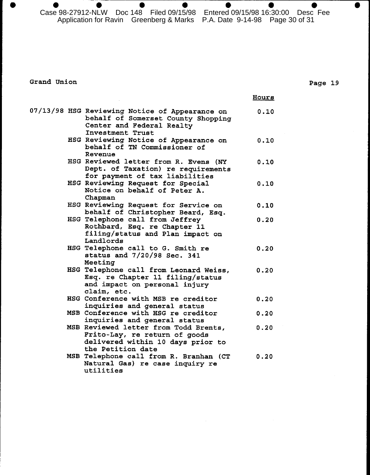$\bullet$ Case 98-27912-NLW Doc 148 Filed 09/15/98 Entered 09/15/98 16:30:00 Desc Fee Application for Ravin Greenberg & Marks P.A. Date 9-14-98 Page 30 of 31

Grand Union

|  |                                                                                                                                       | Hours |
|--|---------------------------------------------------------------------------------------------------------------------------------------|-------|
|  | 07/13/98 HSG Reviewing Notice of Appearance on<br>behalf of Somerset County Shopping<br>Center and Federal Realty<br>Investment Trust | 0.10  |
|  | HSG Reviewing Notice of Appearance on<br>behalf of TN Commissioner of<br>Revenue                                                      | 0.10  |
|  | HSG Reviewed letter from R. Evens (NY<br>Dept. of Taxation) re requirements<br>for payment of tax liabilities                         | 0.10  |
|  | HSG Reviewing Request for Special<br>Notice on behalf of Peter A.<br>Chapman                                                          | 0.10  |
|  | HSG Reviewing Request for Service on<br>behalf of Christopher Beard, Esq.                                                             | 0.10  |
|  | HSG Telephone call from Jeffrey<br>Rothbard, Esq. re Chapter 11<br>filing/status and Plan impact on<br>Landlords                      | 0.20  |
|  | HSG Telephone call to G. Smith re<br>status and 7/20/98 Sec. 341<br>Meeting                                                           | 0.20  |
|  | HSG Telephone call from Leonard Weiss,<br>Esq. re Chapter 11 filing/status<br>and impact on personal injury<br>claim, etc.            | 0.20  |
|  | HSG Conference with MSB re creditor<br>inquiries and general status                                                                   | 0.20  |
|  | MSB Conference with HSG re creditor<br>inquiries and general status                                                                   | 0.20  |
|  | MSB Reviewed letter from Todd Brents,<br>Frito-Lay, re return of goods<br>delivered within 10 days prior to<br>the Petition date      | 0.20  |
|  | MSB Telephone call from R. Branhan (CT<br>Natural Gas) re case inquiry re<br>utilities                                                | 0.20  |